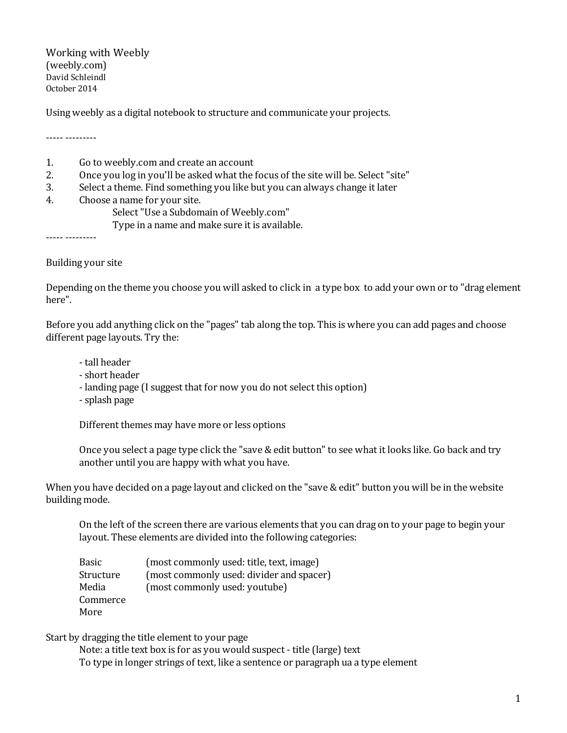Working with Weebly (weebly.com) David Schleindl October 2014

Using weebly as a digital notebook to structure and communicate your projects.

‐‐‐‐‐ ‐‐‐‐‐‐‐‐‐

- 1. Go to weebly.com and create an account
- 2. Once you log in you'll be asked what the focus of the site will be. Select "site"
- 3. Select a theme. Find something you like but you can always change it later
- 4. Choose a name for your site.
	- Select"Use a Subdomain of Weebly.com"
	- Type in a name and make sure it is available.

••••• •••••••••

Building your site

Depending on the theme you choose you will asked to click in a type box to add your own or to "drag element here".

Before you add anything click on the "pages" tab along the top. This is where you can add pages and choose different page layouts. Try the:

‐ tall header

- ‐ short header
- ‐ landing page (I suggest that for now you do not select this option)
- ‐ splash page

Different themes may have more or less options

Once you select a page type click the "save & edit button" to see what it looks like. Go back and try another until you are happy with what you have.

When you have decided on a page layout and clicked on the "save & edit" button you will be in the website building mode.

On the left of the screen there are various elements that you can drag on to your page to begin your layout. These elements are divided into the following categories:

| Basic     | (most commonly used: title, text, image) |
|-----------|------------------------------------------|
| Structure | (most commonly used: divider and spacer) |
| Media     | (most commonly used: youtube)            |
| Commerce  |                                          |
| More      |                                          |

Start by dragging the title element to your page

Note: a title text box is for as you would suspect ‐ title (large) text To type in longer strings of text, like a sentence or paragraph ua a type element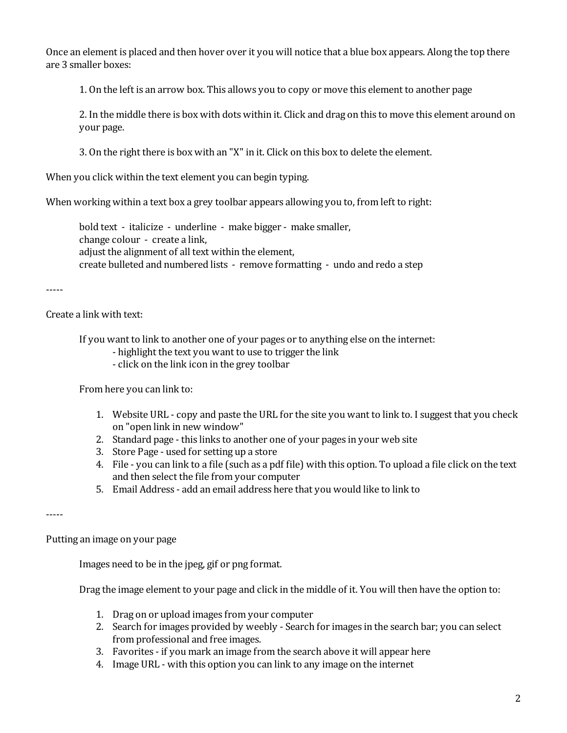Once an element is placed and then hover over it you will notice that a blue box appears. Along the top there are 3 smaller boxes:

1. On the left is an arrow box. This allows you to copy or move this element to another page

2. In the middle there is box with dots within it. Click and drag on this to move this element around on your page.

3. On the right there is box with an "X" in it. Click on this box to delete the element.

When you click within the text element you can begin typing.

When working within a text box a grey toolbar appears allowing you to, from left to right:

bold text ‐ italicize ‐ underline ‐ make bigger ‐ make smaller, change colour ‐ create a link, adjust the alignment of all text within the element, create bulleted and numbered lists ‐ remove formatting ‐ undo and redo a step

‐‐‐‐‐

Create a link with text:

If you want to link to another one of your pages or to anything else on the internet:

- ‐ highlight the text you want to use to trigger the link
- ‐ click on the link icon in the grey toolbar

From here you can link to:

- 1. Website URL ‐ copy and paste the URL for the site you want to link to. I suggest that you check on "open link in new window"
- 2. Standard page this links to another one of your pages in your web site
- 3. Store Page ‐ used for setting up a store
- 4. File ‐ you can link to a file (such as a pdf file) with this option. To upload a file click on the text and then select the file from your computer
- 5. Email Address ‐ add an email address here that you would like to link to

‐‐‐‐‐

Putting an image on your page

Images need to be in the jpeg, gif or png format.

Drag the image element to your page and click in the middle of it. You will then have the option to:

- 1. Drag on or upload images from your computer
- 2. Search for images provided by weebly ‐ Search for images in the search bar; you can select from professional and free images.
- 3. Favorites ‐ if you mark an image from the search above it will appear here
- 4. Image URL ‐ with this option you can link to any image on the internet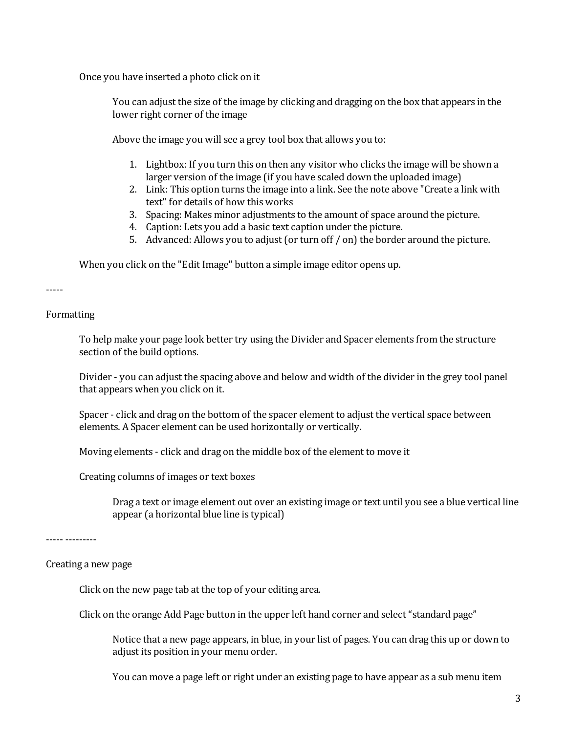Once you have inserted a photo click on it

You can adjust the size of the image by clicking and dragging on the box that appears in the lower right corner of the image

Above the image you will see a grey tool box that allows you to:

- 1. Lightbox: If you turn this on then any visitor who clicks the image will be shown a larger version of the image (if you have scaled down the uploaded image)
- 2. Link: This option turns the image into a link. See the note above "Create a link with text" for details of how this works
- 3. Spacing: Makes minor adjustments to the amount of space around the picture.
- 4. Caption: Lets you add a basic text caption under the picture.
- 5. Advanced: Allows you to adjust (or turn off / on) the border around the picture.

When you click on the "Edit Image" button a simple image editor opens up.

‐‐‐‐‐

Formatting

To help make your page look better try using the Divider and Spacer elements from the structure section of the build options.

Divider ‐ you can adjust the spacing above and below and width of the divider in the grey tool panel that appears when you click on it.

Spacer - click and drag on the bottom of the spacer element to adjust the vertical space between elements. A Spacer element can be used horizontally or vertically.

Moving elements ‐ click and drag on the middle box of the element to move it

Creating columns of images or text boxes

Drag a text or image element out over an existing image or text until you see a blue vertical line appear (a horizontal blue line is typical)

‐‐‐‐‐ ‐‐‐‐‐‐‐‐‐

Creating a new page

Click on the new page tab at the top of your editing area.

Click on the orange Add Page button in the upper left hand corner and select "standard page"

Notice that a new page appears, in blue, in your list of pages. You can drag this up or down to adjust its position in your menu order.

You can move a page left or right under an existing page to have appear as a sub menu item